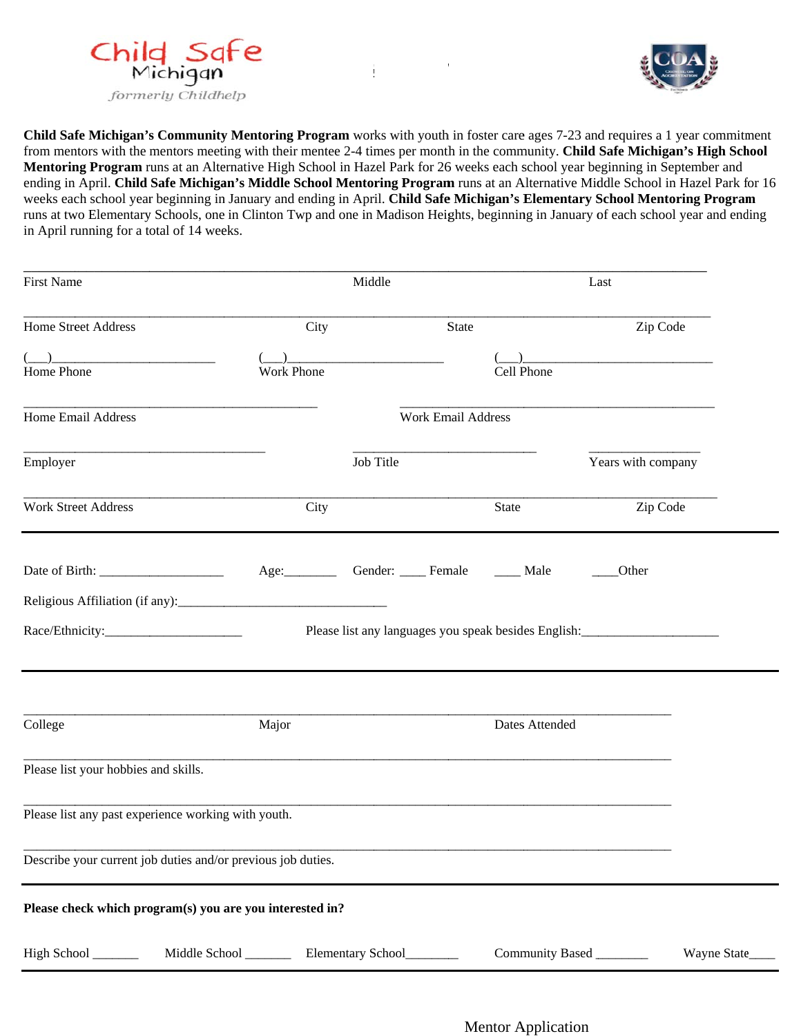



**Child Safe Michigan's Community Mentoring Program** works with youth in foster care ages 7-23 and requires a 1 year commitment from mentors with the mentors meeting with their mentee 2-4 times per month in the community. Child Safe Michigan's High School Mentoring Program runs at an Alternative High School in Hazel Park for 26 weeks each school year beginning in September and ending in April. Child Safe Michigan's Middle School Mentoring Program runs at an Alternative Middle School in Hazel Park for 16 weeks each school year beginning in January and ending in April. Child Safe Michigan's Elementary School Mentoring Program runs at two Elementary Schools, one in Clinton Twp and one in Madison Heights, beginning in January of each school year and ending in April running for a total of 14 weeks.

**E MICHIG**

| <b>First Name</b>                                            |                          | Middle    |                           | Last           |                                                                                   |                 |
|--------------------------------------------------------------|--------------------------|-----------|---------------------------|----------------|-----------------------------------------------------------------------------------|-----------------|
| Home Street Address                                          | City                     |           | <b>State</b>              |                | Zip Code                                                                          |                 |
| Home Phone                                                   | <b>Work Phone</b>        |           |                           | Cell Phone     |                                                                                   |                 |
| Home Email Address                                           |                          |           | <b>Work Email Address</b> |                |                                                                                   |                 |
| Employer                                                     |                          | Job Title |                           |                | Years with company                                                                |                 |
| <b>Work Street Address</b>                                   | City                     |           |                           | <b>State</b>   | Zip Code                                                                          |                 |
|                                                              | Age: Gender: Female Male |           |                           |                | Other                                                                             |                 |
|                                                              |                          |           |                           |                |                                                                                   |                 |
|                                                              |                          |           |                           |                | Please list any languages you speak besides English: ____________________________ |                 |
| College                                                      | Major                    |           |                           | Dates Attended |                                                                                   |                 |
| Please list your hobbies and skills.                         |                          |           |                           |                |                                                                                   |                 |
| Please list any past experience working with youth.          |                          |           |                           |                |                                                                                   |                 |
| Describe your current job duties and/or previous job duties. |                          |           |                           |                |                                                                                   |                 |
| Please check which program(s) you are you interested in?     |                          |           |                           |                |                                                                                   |                 |
| High School ______                                           |                          |           |                           |                | Community Based                                                                   | Wayne State____ |